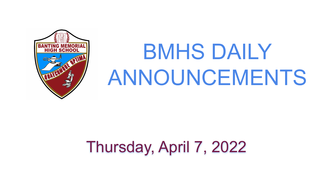

# BMHS DAILY ANNOUNCEMENTS

# Thursday, April 7, 2022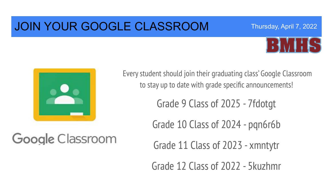### JOIN YOUR GOOGLE CLASSROOM



Thursday, April 7, 2022



Google Classroom

Every student should join their graduating class' Google Classroom to stay up to date with grade specific announcements!

Grade 9 Class of 2025 - 7fdotgt

Grade 10 Class of 2024 - pqn6r6b

Grade 11 Class of 2023 - xmntytr

Grade 12 Class of 2022 - 5kuzhmr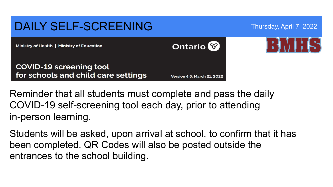#### DAILY SELF-SCREENING Thursday, April 7, 2022 **Ontario** Ministry of Health | Ministry of Education **COVID-19 screening tool** for schools and child care settings **Version 4.6: March 21, 2022**

Reminder that all students must complete and pass the daily COVID-19 self-screening tool each day, prior to attending in-person learning.

Students will be asked, upon arrival at school, to confirm that it has been completed. QR Codes will also be posted outside the entrances to the school building.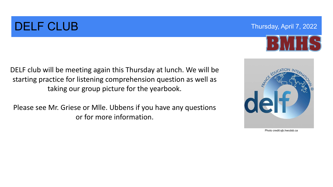## **DELF CLUB** Thursday, April 7, 2022

DELF club will be meeting again this Thursday at lunch. We will be starting practice for listening comprehension question as well as taking our group picture for the yearbook.

Please see Mr. Griese or Mlle. Ubbens if you have any questions or for more information.



Photo credit:sjb.hwcdsb.ca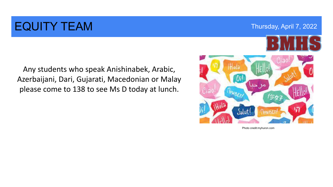### EQUITY TEAM TEAM THURSDAY THURSDAY THURSDAY, April 7, 2022

Any students who speak Anishinabek, Arabic, Azerbaijani, Dari, Gujarati, Macedonian or Malay please come to 138 to see Ms D today at lunch.



Photo credit:myhuron.com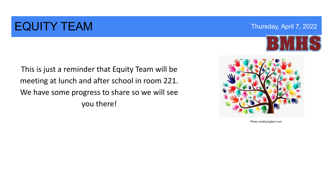### EQUITY TEAM TEAM THURSDAY THURSDAY THURSDAY THUISDAY, April 7, 2022



This is just a reminder that Equity Team will be meeting at lunch and after school in room 221. We have some progress to share so we will see you there!



Photo credit:pngitem.com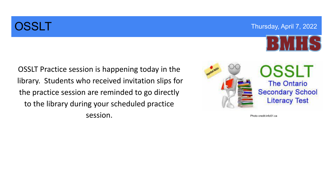**OSSLT Thursday, April 7, 2022** 



OSSLT Practice session is happening today in the library. Students who received invitation slips for the practice session are reminded to go directly to the library during your scheduled practice session.



Photo credit:info51.ca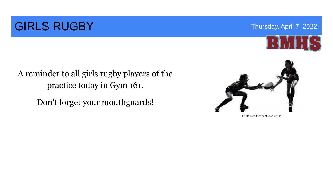### **GIRLS RUGBY** Thursday, April 7, 2022



#### A reminder to all girls rugby players of the practice today in Gym 161.

Don't forget your mouthguards!



Photo credit:theprintnews.co.uk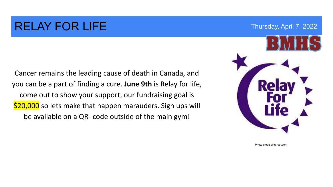### RELAY FOR LIFE Thursday, April 7, 2022

Cancer remains the leading cause of death in Canada, and you can be a part of finding a cure. **June 9th** is Relay for life, come out to show your support, our fundraising goal is \$20,000 so lets make that happen marauders. Sign ups will be available on a QR- code outside of the main gym!



Photo credit:pinterest.com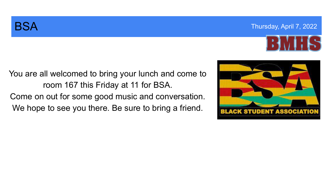

You are all welcomed to bring your lunch and come to room 167 this Friday at 11 for BSA. Come on out for some good music and conversation. We hope to see you there. Be sure to bring a friend.

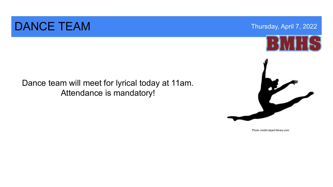### DANCE TEAM Thursday, April 7, 2022

Dance team will meet for lyrical today at 11am. Attendance is mandatory!



Photo credit:clipart-library.com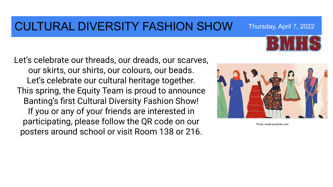#### CULTURAL DIVERSITY FASHION SHOW Thursday, April 7, 2022

Let's celebrate our threads, our dreads, our scarves, our skirts, our shirts, our colours, our beads. Let's celebrate our cultural heritage together. This spring, the Equity Team is proud to announce Banting's first Cultural Diversity Fashion Show! If you or any of your friends are interested in participating, please follow the QR code on our posters around school or visit Room 138 or 216.



Photo credit:everbrite.com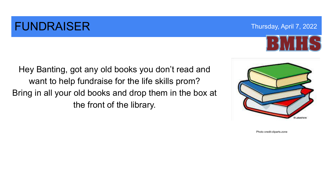### **FUNDRAISER** Thursday, April 7, 2022



Hey Banting, got any old books you don't read and want to help fundraise for the life skills prom? Bring in all your old books and drop them in the box at the front of the library.



Photo credit:cliparts.zone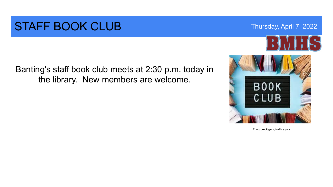#### STAFF BOOK CLUB Thursday, April 7, 2022

Banting's staff book club meets at 2:30 p.m. today in the library. New members are welcome.



Photo credit:georginalibrary.ca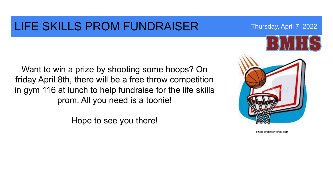#### LIFE SKILLS PROM FUNDRAISER Thursday, April 7, 2022

Want to win a prize by shooting some hoops? On friday April 8th, there will be a free throw competition in gym 116 at lunch to help fundraise for the life skills prom. All you need is a toonie!

Hope to see you there!



Photo credit:pinterest.com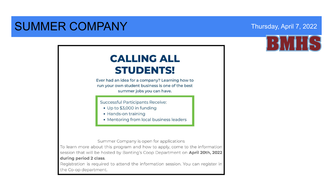### SUMMER COMPANY Thursday, April 7, 2022



#### **CALLING ALL STUDENTS!**

Ever had an idea for a company? Learning how to run your own student business is one of the best summer jobs you can have.

Successful Participants Receive:

- Up to \$3,000 in funding
- Hands-on training
- Mentoring from local business leaders

Summer Company is open for applications

To learn more about this program and how to apply, come to the information session that will be hosted by Banting's Coop Department on April 20th, 2022 during period 2 class.

Registration is required to attend the information session. You can register in the Co-op department.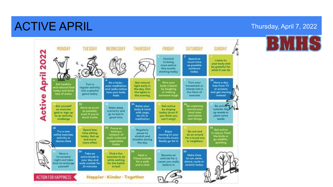### ACTIVE APRIL Thursday, April 7, 2022